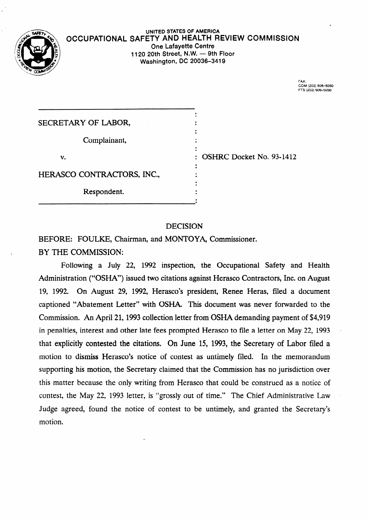

#### **UNITED STATES OF AMERICA OCCUPATIONAL SAFETY AND HEALTH REVIEW COMMISSION One Lafayette Centre 1120 20th Street, N.W. - 9th Floor Washington,** *DC* **20036-3419**

. . . . . . . . . .

. .

 $\ddot{\cdot}$  $\ddot{\cdot}$  FAX:<br>COM (202) 60**6–**50 Frs **(202)** 606-5050

| SECRETARY OF LABOR,        |
|----------------------------|
| Complainant,               |
| v.                         |
| HERASCO CONTRACTORS, INC., |
| Respondent.                |

: OSHRC Docket No. 93-1412

## DECISION

BEFORE: FOULKE, Chairman, and MONTOYA, Commissioner.

BY THE COMMISSION:

Following a July 22, 1992 inspection, the Occupational Safety and Health Administration ("OSHA") issued two citations against Herasco Contractors, Inc. on August 19, 1992. On August 29, 1992, Herasco's president, Renee Heras, filed a document captioned "Abatement Letter" with OSHA. This document was never forwarded to the Commission. An April 21, 1993 collection letter from OSHA demanding payment of \$4,919 in penalties, interest and other late fees prompted Herasco to file a letter on May-22, 1993 that explicitly contested the citations. On June 15, 1993, the Secretary of Labor filed a motion to dismiss Herasco's notice of contest as untimely filed. In the memorandum supporting his motion, the Secretary claimed that the Commission has no jurisdiction over this matter because the only writing from Herasco that could be construed as a notice of contest, the May 22, 1993 letter, is "grossly out of time." The Chief Administrative Law - Judge agreed, found the notice of contest to be untimely, and granted the Secretary's motion.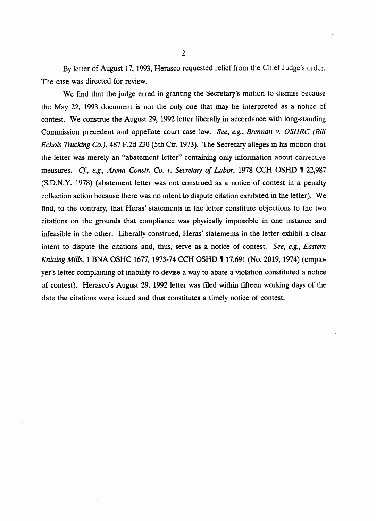By letter of August 17, 1993, Herasco requested relief from the Chief Judge's order. The case was directed for review.

We find that the judge erred in granting the Secretary's motion to dismiss because the May 22, 1993 document is not the only one that may be interpreted as a notice of contest. We construe the August 29, 1992 letter liberally in accordance with long-standing Commission precedent and appellate court case law. See, e.g., *Brennan v. OSHRC (Bill*  Echols Trucking Co.), 487 F.2d 230 (5th Cir. 1973). The Secretary alleges in his motion that the letter was merely an "abatement letter" containing only information about corrective measures. *Cf., e.g., Arena Constr. Co. v. Secretary of Labor,* 1978 CCH OSHD 1 22,987 (S.D.N.Y. 1978) (abatement letter was not construed as a notice of contest in a penalty collection action because there was no intent to dispute citation exhibited in the letter). We find, to the contrary, that Heras' statements in the letter constitute objections to the two citations on the grounds that compliance was physically impossible in one instance and infeasible in the other. Liberally construed, Heras' statements in the letter exhibit a clear intent to dispute the citations and, thus, serve as a notice of contest. See, *e.g., Eastern Knitting Mills*, 1 BNA OSHC 1677, 1973-74 CCH OSHD **1** 17,691 (No. 2019, 1974) (employer's letter complaining of inability to devise a way to abate a violation constituted a notice of contest). Herasco's August 29, 1992 letter was filed within fifteen working days of the date the citations were issued and thus constitutes a timely notice of contest.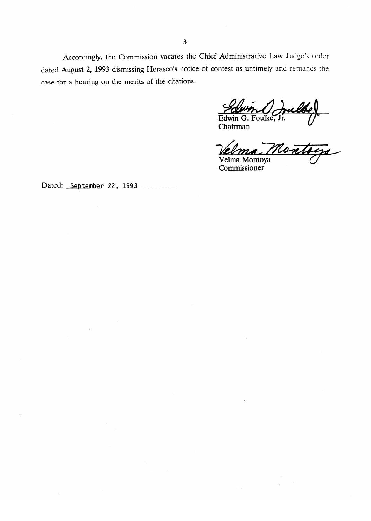Accordingly, the Commission vacates the Chief Administrative Law Judge's order dated August 2, 1993 dismissing Herasco's notice of contest as untimely and remands the case for a hearing on the merits of the citations.

Edwin

Chairman

un Odrubber<br>G. Foulke, Jr.<br>ma Montaga

Velma Montoya Commissioner

Dated: September 22, 1993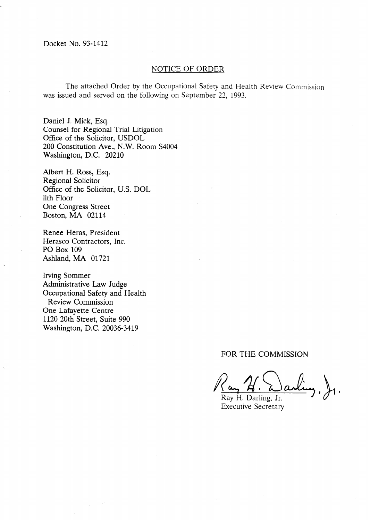## NOTICE OF ORDER

The attached Order by the Occupational Safety and Health Review Commission was issued and served on the following on September 22, 1993.

,

Daniel J. Mick, Esq. Counsel for Regional Trial Litigation Office of the Solicitor, USDOL 200 Constitution Ave., N.W. Room S4004 Washington, D.C. 20210

Albert H. Ross, Esq. Regional Solicitor Office of the Solicitor, U.S. DOL 11th Floor One Congress Street Boston, MA 02114

Renee Heras, President Herasco Contractors, Inc. PO Box 109 Ashland, MA 01721

Irving Sommer Administrative Law Judge Occupational Safety and Health Review Commission One Lafayette Centre 1120 20th Street, Suite 990 Washington, D.C. 20036-3419

FOR THE COMMISSION

Ray H. Darling, Jr. Executive Secretary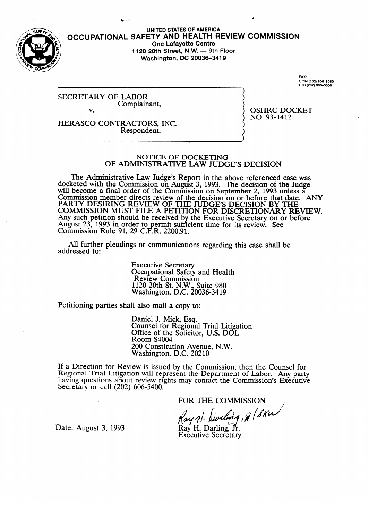

**UNITED STATES OF AMERICA**  OCCUPATIONAL **SAFETY AND HEALTH REVIEW COMMISSION One Lafayette Centre 1120 20th Street, N.W. - 9th Floor Washington, DC 20036-3419** 

**FAX: COM (202) 6-5050 FTS (202) 606-5050** 

SECRETARY OF LABOR Complainant,

v.

 $NO. 93 - 1412$  $\frac{1}{2}$ 

HERASCO CONTRACTORS, INC.<br>Respondent. Respondent.

#### NOTICE OF DOCKETING OF ADMINISTRATIVE LAW JUDGE'S DECISION

The Administrative Law Judge's Report in the above referenced case was  $\chi$ eted with the Commission on August 3, 1993. The decision of the Judge will become a final order of the Commission on September 2, 1993 unless a Commission member directs review of the decision on or before that date. PARTY DESIRING REVIEW OF THE JUDGE'S DECISION BY THE<br>COMMISSION MUST FILE A DETERNAL FOR DISORETIONARY REVIEW. COMMISSION MUST FILE A PETITION FOR DISCRETIONARY RE Any such petition should be received by the Executive Secretary on or before August 25, 1995 in order to permit sufficient time for its review. See<br>Commission Bule 01, 20 C E B, 2200.01 COMMISSION KUIC 91,  $29$  C.F.K.  $2200.91$ .

All further pleadings or communication  $A$ l further pleadings or communications regarding the communications regarding the case shall be shall be shall be shall be shall be shall be shall be shall be shall be shall be shall be shall be shall be shall be shall

> **Executive Secretary** Occupational Safety and Health<br>Review Commission  $1120$  20th St. N.W., Suite 980  $N$ ashington, D.C. 20  $1.28$  2000  $2.12$

Petitioning parties shall also mail a copy to:

Daniel J. Mick, Esq.<br>Counsel for Regional Trial Litigation Office of the Solicitor, U.S. DOL Room S4004 200 Constitution Avenue, N.W. Washington, D.C. 20210

200 Constitution Avenue, N.W. ew is issued by the Com having questions about review rights may contact the Commission's Executive Secretary or call  $(202)$  606-5400.

FOR THE COMMISSION

Ray H. Dorling, 9 (SKW)<br>Ray H. Darling, Jr.<br>Executive Second

Date: August 3, 1993

Secretary or call (202) 606-5400.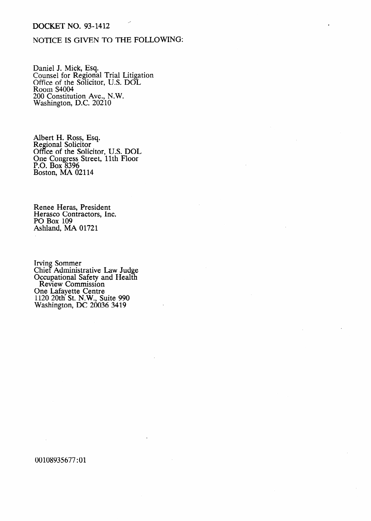## DOCKET NO. 93-1412

# NOTICE IS GIVEN TO THE FOLLOWING:

Daniel J. Mick, Esq. Counsel for Regional Trial Litigation Office of the Solicitor, U.S. DOL Room S4004 200 Constitution Ave., N.W. Washington, D.C. 20210

Albert H. Ross, Esq. Regional Solicitor Office of the Solicitor, U.S. DOL One Congress Street, 11th Floor P.O. Box 8396 Boston, MA 02114

Renee Heras, President Herasco Contractors, Inc. PO Box 109 Ashland, MA 01721

Irving Sommer Chief Administrative Law Judge Occupational Safety and Health Review Commission One Lafayette Centre 1120 20th St. N.W., Suite 990 Washington, DC 20036 3419

00108935677:Ol